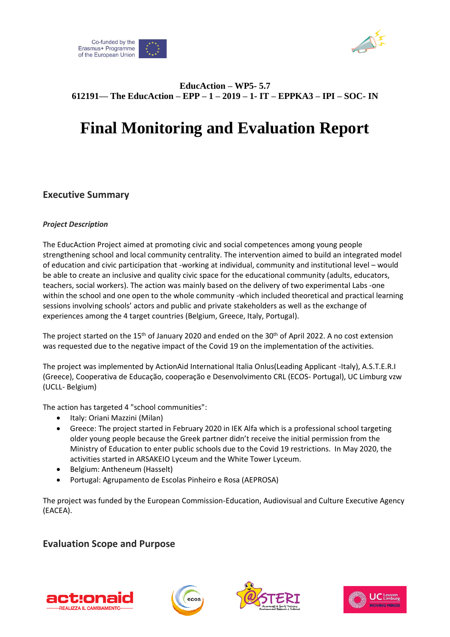



## **EducAction – WP5- 5.7 612191— The EducAction – EPP – 1 – 2019 – 1- IT – EPPKA3 – IPI – SOC- IN**

# **Final Monitoring and Evaluation Report**

# **Executive Summary**

#### *Project Description*

The EducAction Project aimed at promoting civic and social competences among young people strengthening school and local community centrality. The intervention aimed to build an integrated model of education and civic participation that -working at individual, community and institutional level – would be able to create an inclusive and quality civic space for the educational community (adults, educators, teachers, social workers). The action was mainly based on the delivery of two experimental Labs -one within the school and one open to the whole community -which included theoretical and practical learning sessions involving schools' actors and public and private stakeholders as well as the exchange of experiences among the 4 target countries (Belgium, Greece, Italy, Portugal).

The project started on the 15<sup>th</sup> of January 2020 and ended on the 30<sup>th</sup> of April 2022. A no cost extension was requested due to the negative impact of the Covid 19 on the implementation of the activities.

The project was implemented by ActionAid International Italia Onlus(Leading Applicant -Italy), A.S.T.E.R.I (Greece), Cooperativa de Educação, cooperação e Desenvolvimento CRL (ECOS- Portugal), UC Limburg vzw (UCLL- Belgium)

The action has targeted 4 "school communities":

- Italy: Oriani Mazzini (Milan)
- Greece: The project started in February 2020 in IEK Alfa which is a professional school targeting older young people because the Greek partner didn't receive the initial permission from the Ministry of Education to enter public schools due to the Covid 19 restrictions. In May 2020, the activities started in ARSAKEIO Lyceum and the White Tower Lyceum.
- Belgium: Antheneum (Hasselt)
- Portugal: Agrupamento de Escolas Pinheiro e Rosa (AEPROSA)

The project was funded by the European Commission-Education, Audiovisual and Culture Executive Agency (EACEA).

## **Evaluation Scope and Purpose**







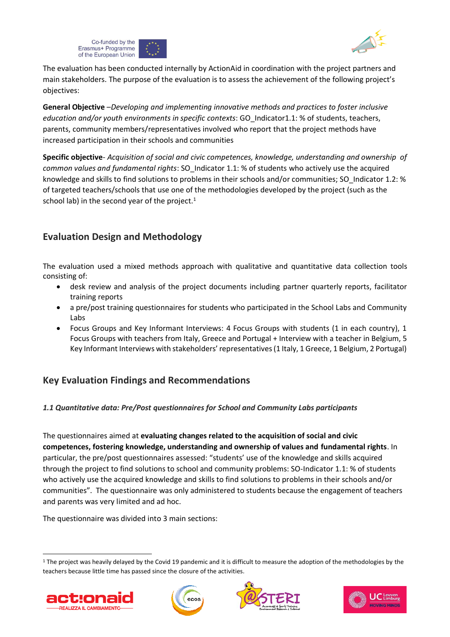



The evaluation has been conducted internally by ActionAid in coordination with the project partners and main stakeholders. The purpose of the evaluation is to assess the achievement of the following project's objectives:

**General Objective** –*Developing and implementing innovative methods and practices to foster inclusive education and/or youth environments in specific contexts*: GO\_Indicator1.1: % of students, teachers, parents, community members/representatives involved who report that the project methods have increased participation in their schools and communities

**Specific objective**- *Acquisition of social and civic competences, knowledge, understanding and ownership of common values and fundamental rights*: SO\_Indicator 1.1: % of students who actively use the acquired knowledge and skills to find solutions to problems in their schools and/or communities; SO\_Indicator 1.2: % of targeted teachers/schools that use one of the methodologies developed by the project (such as the school lab) in the second year of the project. $1$ 

# **Evaluation Design and Methodology**

The evaluation used a mixed methods approach with qualitative and quantitative data collection tools consisting of:

- desk review and analysis of the project documents including partner quarterly reports, facilitator training reports
- a pre/post training questionnaires for students who participated in the School Labs and Community Labs
- Focus Groups and Key Informant Interviews: 4 Focus Groups with students (1 in each country), 1 Focus Groups with teachers from Italy, Greece and Portugal + Interview with a teacher in Belgium, 5 Key Informant Interviews with stakeholders' representatives (1 Italy, 1 Greece, 1 Belgium, 2 Portugal)

# **Key Evaluation Findings and Recommendations**

## *1.1 Quantitative data: Pre/Post questionnaires for School and Community Labs participants*

The questionnaires aimed at **evaluating changes related to the acquisition of social and civic competences, fostering knowledge, understanding and ownership of values and fundamental rights**. In particular, the pre/post questionnaires assessed: "students' use of the knowledge and skills acquired through the project to find solutions to school and community problems: SO-Indicator 1.1: % of students who actively use the acquired knowledge and skills to find solutions to problems in their schools and/or communities". The questionnaire was only administered to students because the engagement of teachers and parents was very limited and ad hoc.

The questionnaire was divided into 3 main sections:

 $1$  The project was heavily delayed by the Covid 19 pandemic and it is difficult to measure the adoption of the methodologies by the teachers because little time has passed since the closure of the activities.







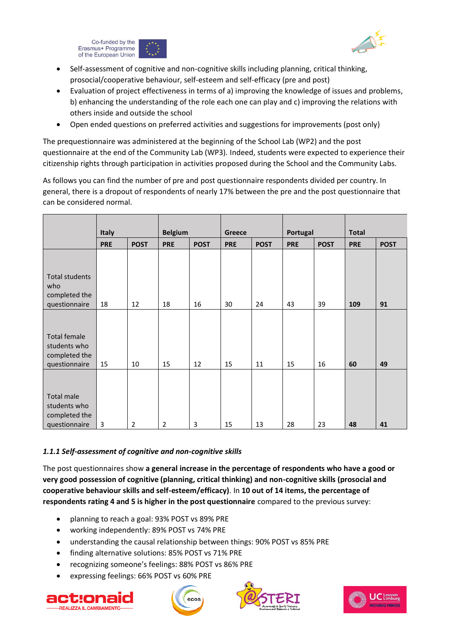



- Self-assessment of cognitive and non-cognitive skills including planning, critical thinking, prosocial/cooperative behaviour, self-esteem and self-efficacy (pre and post)
- Evaluation of project effectiveness in terms of a) improving the knowledge of issues and problems, b) enhancing the understanding of the role each one can play and c) improving the relations with others inside and outside the school
- Open ended questions on preferred activities and suggestions for improvements (post only)

The prequestionnaire was administered at the beginning of the School Lab (WP2) and the post questionnaire at the end of the Community Lab (WP3). Indeed, students were expected to experience their citizenship rights through participation in activities proposed during the School and the Community Labs.

As follows you can find the number of pre and post questionnaire respondents divided per country. In general, there is a dropout of respondents of nearly 17% between the pre and the post questionnaire that can be considered normal.

|                                                                       | <b>Italy</b> |                | <b>Belgium</b> |             | <b>Greece</b> |             | Portugal   |             | <b>Total</b> |             |
|-----------------------------------------------------------------------|--------------|----------------|----------------|-------------|---------------|-------------|------------|-------------|--------------|-------------|
|                                                                       | <b>PRE</b>   | <b>POST</b>    | <b>PRE</b>     | <b>POST</b> | <b>PRE</b>    | <b>POST</b> | <b>PRE</b> | <b>POST</b> | <b>PRE</b>   | <b>POST</b> |
| <b>Total students</b><br>who<br>completed the<br>questionnaire        | 18           | 12             | 18             | 16          | 30            | 24          | 43         | 39          | 109          | 91          |
|                                                                       |              |                |                |             |               |             |            |             |              |             |
| <b>Total female</b><br>students who<br>completed the<br>questionnaire | 15           | 10             | 15             | 12          | 15            | 11          | 15         | 16          | 60           | 49          |
| Total male<br>students who<br>completed the<br>questionnaire          | 3            | $\overline{2}$ | $\overline{2}$ | 3           | 15            | 13          | 28         | 23          | 48           | 41          |

#### *1.1.1 Self-assessment of cognitive and non-cognitive skills*

The post questionnaires show **a general increase in the percentage of respondents who have a good or very good possession of cognitive (planning, critical thinking) and non-cognitive skills (prosocial and cooperative behaviour skills and self-esteem/efficacy)**. In **10 out of 14 items, the percentage of respondents rating 4 and 5 is higher in the post questionnaire** compared to the previous survey:

- planning to reach a goal: 93% POST vs 89% PRE
- working independently: 89% POST vs 74% PRE
- understanding the causal relationship between things: 90% POST vs 85% PRE
- finding alternative solutions: 85% POST vs 71% PRE
- recognizing someone's feelings: 88% POST vs 86% PRE
- expressing feelings: 66% POST vs 60% PRE







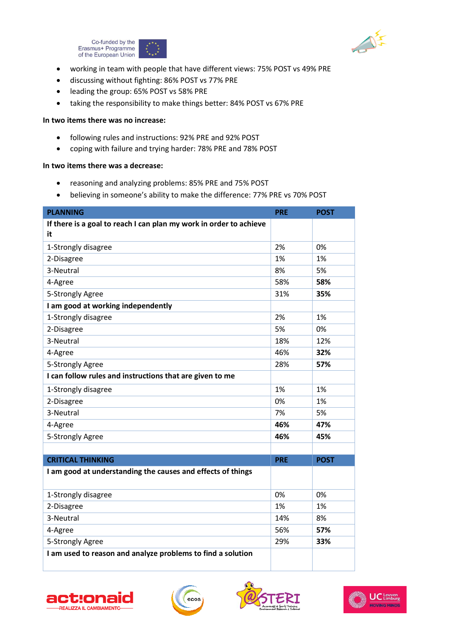



- working in team with people that have different views: 75% POST vs 49% PRE
- discussing without fighting: 86% POST vs 77% PRE
- leading the group: 65% POST vs 58% PRE
- taking the responsibility to make things better: 84% POST vs 67% PRE

#### **In two items there was no increase:**

- following rules and instructions: 92% PRE and 92% POST
- coping with failure and trying harder: 78% PRE and 78% POST

#### **In two items there was a decrease:**

- reasoning and analyzing problems: 85% PRE and 75% POST
- believing in someone's ability to make the difference: 77% PRE vs 70% POST

| <b>PLANNING</b>                                                          | <b>PRE</b> | <b>POST</b> |
|--------------------------------------------------------------------------|------------|-------------|
| If there is a goal to reach I can plan my work in order to achieve<br>it |            |             |
| 1-Strongly disagree                                                      | 2%         | 0%          |
| 2-Disagree                                                               | 1%         | 1%          |
| 3-Neutral                                                                | 8%         | 5%          |
| 4-Agree                                                                  | 58%        | 58%         |
| 5-Strongly Agree                                                         | 31%        | 35%         |
| I am good at working independently                                       |            |             |
| 1-Strongly disagree                                                      | 2%         | 1%          |
| 2-Disagree                                                               | 5%         | 0%          |
| 3-Neutral                                                                | 18%        | 12%         |
| 4-Agree                                                                  | 46%        | 32%         |
| 5-Strongly Agree                                                         | 28%        | 57%         |
| I can follow rules and instructions that are given to me                 |            |             |
| 1-Strongly disagree                                                      | 1%         | 1%          |
| 2-Disagree                                                               | 0%         | 1%          |
| 3-Neutral                                                                | 7%         | 5%          |
| 4-Agree                                                                  | 46%        | 47%         |
| 5-Strongly Agree                                                         | 46%        | 45%         |
|                                                                          |            |             |
| <b>CRITICAL THINKING</b>                                                 | <b>PRE</b> | <b>POST</b> |
| I am good at understanding the causes and effects of things              |            |             |
| 1-Strongly disagree                                                      | 0%         | 0%          |
| 2-Disagree                                                               | 1%         | 1%          |
| 3-Neutral                                                                | 14%        | 8%          |
| 4-Agree                                                                  | 56%        | 57%         |
| 5-Strongly Agree                                                         | 29%        | 33%         |
| I am used to reason and analyze problems to find a solution              |            |             |







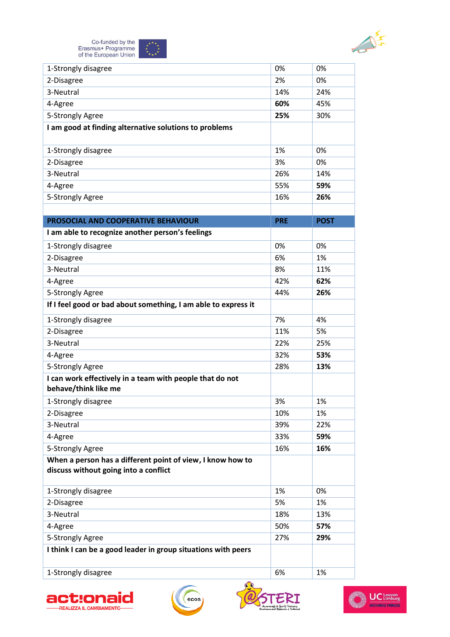

| 1-Strongly disagree                                            | 0%         | 0%          |
|----------------------------------------------------------------|------------|-------------|
| 2-Disagree                                                     | 2%         | 0%          |
| 3-Neutral                                                      | 14%        | 24%         |
| 4-Agree                                                        | 60%        | 45%         |
| 5-Strongly Agree                                               | 25%        | 30%         |
| I am good at finding alternative solutions to problems         |            |             |
|                                                                |            |             |
| 1-Strongly disagree                                            | 1%         | 0%          |
| 2-Disagree                                                     | 3%         | 0%          |
| 3-Neutral                                                      | 26%        | 14%         |
| 4-Agree                                                        | 55%        | 59%         |
| 5-Strongly Agree                                               | 16%        | 26%         |
|                                                                |            |             |
| PROSOCIAL AND COOPERATIVE BEHAVIOUR                            | <b>PRE</b> | <b>POST</b> |
| I am able to recognize another person's feelings               |            |             |
| 1-Strongly disagree                                            | 0%         | 0%          |
| 2-Disagree                                                     | 6%         | 1%          |
| 3-Neutral                                                      | 8%         | 11%         |
| 4-Agree                                                        | 42%        | 62%         |
| 5-Strongly Agree                                               | 44%        | 26%         |
| If I feel good or bad about something, I am able to express it |            |             |
| 1-Strongly disagree                                            | 7%         | 4%          |
| 2-Disagree                                                     | 11%        | 5%          |
| 3-Neutral                                                      | 22%        | 25%         |
| 4-Agree                                                        | 32%        | 53%         |
| 5-Strongly Agree                                               | 28%        | 13%         |
| I can work effectively in a team with people that do not       |            |             |
| behave/think like me                                           |            |             |
| 1-Strongly disagree                                            | 3%         | 1%          |
| 2-Disagree                                                     | 10%        | 1%          |
| 3-Neutral                                                      | 39%        | 22%         |
| 4-Agree                                                        | 33%        | 59%         |
| 5-Strongly Agree                                               | 16%        | 16%         |
| When a person has a different point of view, I know how to     |            |             |
| discuss without going into a conflict                          |            |             |
| 1-Strongly disagree                                            | 1%         | 0%          |
| 2-Disagree                                                     | 5%         | 1%          |
| 3-Neutral                                                      | 18%        | 13%         |
| 4-Agree                                                        | 50%        | 57%         |
| 5-Strongly Agree                                               | 27%        | 29%         |
| I think I can be a good leader in group situations with peers  |            |             |
|                                                                |            |             |
| 1-Strongly disagree                                            | 6%         | 1%          |







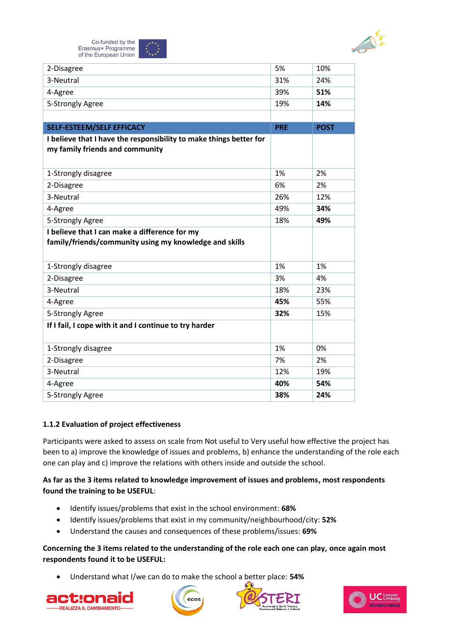

Co-funded by the Erasmus+ Programme of the European Union

| 2-Disagree                                                         | 5%         | 10%         |
|--------------------------------------------------------------------|------------|-------------|
| 3-Neutral                                                          | 31%        | 24%         |
| 4-Agree                                                            | 39%        | 51%         |
| 5-Strongly Agree                                                   | 19%        | 14%         |
|                                                                    |            |             |
| <b>SELF-ESTEEM/SELF EFFICACY</b>                                   | <b>PRE</b> | <b>POST</b> |
| I believe that I have the responsibility to make things better for |            |             |
| my family friends and community                                    |            |             |
|                                                                    |            |             |
| 1-Strongly disagree                                                | 1%         | 2%          |
| 2-Disagree                                                         | 6%         | 2%          |
| 3-Neutral                                                          | 26%        | 12%         |
| 4-Agree                                                            | 49%        | 34%         |
| 5-Strongly Agree                                                   | 18%        | 49%         |
| I believe that I can make a difference for my                      |            |             |
| family/friends/community using my knowledge and skills             |            |             |
|                                                                    |            |             |
| 1-Strongly disagree                                                | 1%         | 1%          |
| 2-Disagree                                                         | 3%         | 4%          |
| 3-Neutral                                                          | 18%        | 23%         |
| 4-Agree                                                            | 45%        | 55%         |
| 5-Strongly Agree                                                   | 32%        | 15%         |
| If I fail, I cope with it and I continue to try harder             |            |             |
|                                                                    |            |             |
| 1-Strongly disagree                                                | 1%         | 0%          |
| 2-Disagree                                                         | 7%         | 2%          |
| 3-Neutral                                                          | 12%        | 19%         |
| 4-Agree                                                            | 40%        | 54%         |
| 5-Strongly Agree                                                   | 38%        | 24%         |

#### **1.1.2 Evaluation of project effectiveness**

Participants were asked to assess on scale from Not useful to Very useful how effective the project has been to a) improve the knowledge of issues and problems, b) enhance the understanding of the role each one can play and c) improve the relations with others inside and outside the school.

**As far as the 3 items related to knowledge improvement of issues and problems, most respondents found the training to be USEFUL**:

- Identify issues/problems that exist in the school environment: **68%**
- Identify issues/problems that exist in my community/neighbourhood/city: **52%**
- Understand the causes and consequences of these problems/issues: **69%**

#### **Concerning the 3 items related to the understanding of the role each one can play, once again most respondents found it to be USEFUL:**

• Understand what I/we can do to make the school a better place: **54%**







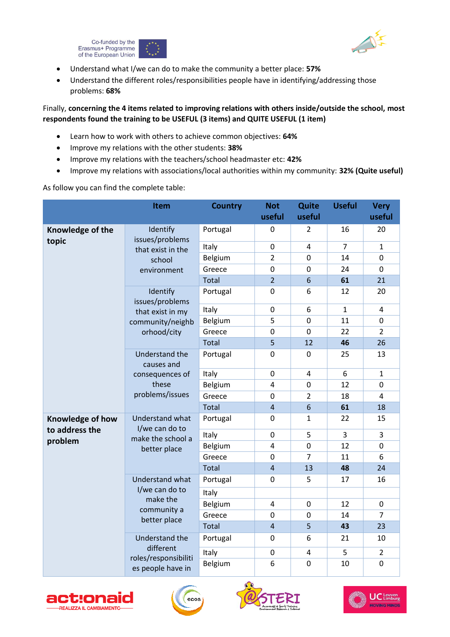



- Understand what I/we can do to make the community a better place: **57%**
- Understand the different roles/responsibilities people have in identifying/addressing those problems: **68%**

## Finally, **concerning the 4 items related to improving relations with others inside/outside the school, most respondents found the training to be USEFUL (3 items) and QUITE USEFUL (1 item)**

- Learn how to work with others to achieve common objectives: **64%**
- Improve my relations with the other students: **38%**
- Improve my relations with the teachers/school headmaster etc: **42%**
- Improve my relations with associations/local authorities within my community: **32% (Quite useful)**

As follow you can find the complete table:

|                                    | Item                                                                        | <b>Country</b> | <b>Not</b><br>useful | Quite<br>useful | <b>Useful</b>  | <b>Very</b><br>useful |
|------------------------------------|-----------------------------------------------------------------------------|----------------|----------------------|-----------------|----------------|-----------------------|
| Knowledge of the<br>topic          | Identify<br>issues/problems                                                 | Portugal       | 0                    | 2               | 16             | 20                    |
|                                    | that exist in the                                                           | Italy          | $\mathbf 0$          | 4               | $\overline{7}$ | $\mathbf{1}$          |
|                                    | school                                                                      | Belgium        | $\overline{2}$       | 0               | 14             | $\mathbf 0$           |
|                                    | environment                                                                 | Greece         | $\boldsymbol{0}$     | 0               | 24             | $\mathbf 0$           |
|                                    |                                                                             | Total          | $\overline{2}$       | 6               | 61             | 21                    |
|                                    | Identify<br>issues/problems                                                 | Portugal       | $\mathbf 0$          | 6               | 12             | 20                    |
|                                    | that exist in my                                                            | Italy          | $\boldsymbol{0}$     | 6               | $\mathbf{1}$   | 4                     |
|                                    | community/neighb                                                            | Belgium        | 5                    | 0               | 11             | $\pmb{0}$             |
|                                    | orhood/city                                                                 | Greece         | 0                    | $\mathbf 0$     | 22             | $\overline{2}$        |
|                                    |                                                                             | <b>Total</b>   | 5                    | 12              | 46             | 26                    |
|                                    | Understand the<br>causes and<br>consequences of<br>these<br>problems/issues | Portugal       | $\boldsymbol{0}$     | 0               | 25             | 13                    |
|                                    |                                                                             | Italy          | $\overline{0}$       | 4               | 6              | $\mathbf{1}$          |
|                                    |                                                                             | Belgium        | 4                    | 0               | 12             | 0                     |
|                                    |                                                                             | Greece         | 0                    | $\overline{2}$  | 18             | 4                     |
|                                    |                                                                             | <b>Total</b>   | $\sqrt{4}$           | 6               | 61             | 18                    |
| Knowledge of how<br>to address the | Understand what<br>I/we can do to                                           | Portugal       | 0                    | 1               | 22             | 15                    |
| problem                            | make the school a                                                           | Italy          | 0                    | 5               | 3              | $\overline{3}$        |
|                                    | better place                                                                | Belgium        | 4                    | 0               | 12             | 0                     |
|                                    |                                                                             | Greece         | 0                    | $\overline{7}$  | 11             | 6                     |
|                                    |                                                                             | Total          | $\overline{4}$       | 13              | 48             | 24                    |
|                                    | Understand what                                                             | Portugal       | 0                    | 5               | 17             | 16                    |
|                                    | I/we can do to<br>make the                                                  | Italy          |                      |                 |                |                       |
|                                    | community a                                                                 | Belgium        | 4                    | $\overline{0}$  | 12             | $\mathbf 0$           |
|                                    | better place                                                                | Greece         | 0                    | $\overline{0}$  | 14             | $\overline{7}$        |
|                                    |                                                                             | Total          | $\overline{4}$       | 5               | 43             | 23                    |
|                                    | Understand the<br>different                                                 | Portugal       | 0                    | 6               | 21             | 10                    |
|                                    | roles/responsibiliti                                                        | Italy          | $\pmb{0}$            | 4               | 5              | $\overline{2}$        |
|                                    | es people have in                                                           | Belgium        | 6                    | $\overline{0}$  | 10             | $\mathbf 0$           |







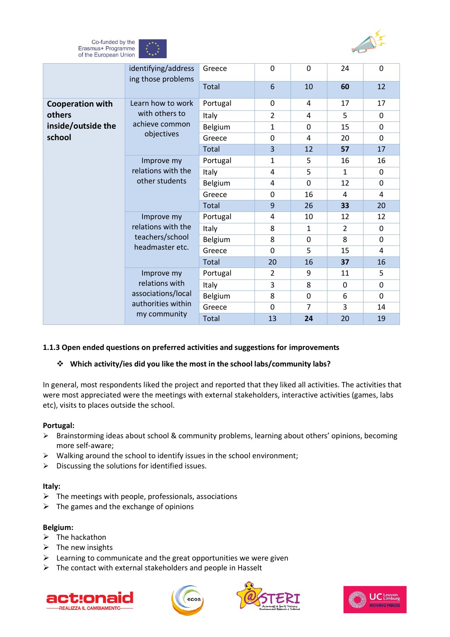



|                                                                                          | identifying/address<br>ing those problems | Greece   | $\mathbf 0$      | 0              | 24           | $\Omega$     |
|------------------------------------------------------------------------------------------|-------------------------------------------|----------|------------------|----------------|--------------|--------------|
|                                                                                          |                                           | Total    | 6                | 10             | 60           | 12           |
| <b>Cooperation with</b>                                                                  | Learn how to work                         | Portugal | $\mathbf 0$      | 4              | 17           | 17           |
| others                                                                                   | with others to                            | Italy    | $\overline{2}$   | 4              | 5            | $\mathbf 0$  |
| inside/outside the                                                                       | achieve common                            | Belgium  | 1                | 0              | 15           | $\Omega$     |
| school                                                                                   | objectives                                | Greece   | 0                | 4              | 20           | 0            |
|                                                                                          |                                           | Total    | $\overline{3}$   | 12             | 57           | 17           |
|                                                                                          | Improve my                                | Portugal | $\mathbf{1}$     | 5              | 16           | 16           |
|                                                                                          | relations with the                        | Italy    | 4                | 5              | $\mathbf{1}$ | $\mathbf{0}$ |
| other students                                                                           |                                           | Belgium  | 4                | 0              | 12           | $\Omega$     |
|                                                                                          | Greece                                    | 0        | 16               | 4              | 4            |              |
|                                                                                          | Improve my                                | Total    | $\boldsymbol{9}$ | 26             | 33           | 20           |
|                                                                                          |                                           | Portugal | 4                | 10             | 12           | 12           |
| relations with the<br>teachers/school<br>headmaster etc.<br>Improve my<br>relations with | Italy                                     | 8        | $\mathbf{1}$     | $\overline{2}$ | $\mathbf 0$  |              |
|                                                                                          |                                           | Belgium  | 8                | 0              | 8            | 0            |
|                                                                                          |                                           | Greece   | 0                | 5              | 15           | 4            |
|                                                                                          |                                           | Total    | 20               | 16             | 37           | 16           |
|                                                                                          | Portugal                                  | 2        | 9                | 11             | 5            |              |
|                                                                                          | Italy                                     | 3        | 8                | 0              | 0            |              |
|                                                                                          | associations/local<br>authorities within  | Belgium  | 8                | 0              | 6            | 0            |
|                                                                                          |                                           | Greece   | $\mathbf 0$      | $\overline{7}$ | 3            | 14           |
| my community                                                                             |                                           | Total    | 13               | 24             | 20           | 19           |

#### **1.1.3 Open ended questions on preferred activities and suggestions for improvements**

#### ❖ **Which activity/ies did you like the most in the school labs/community labs?**

In general, most respondents liked the project and reported that they liked all activities. The activities that were most appreciated were the meetings with external stakeholders, interactive activities (games, labs etc), visits to places outside the school.

#### **Portugal:**

- ➢ Brainstorming ideas about school & community problems, learning about others' opinions, becoming more self-aware;
- ➢ Walking around the school to identify issues in the school environment;
- ➢ Discussing the solutions for identified issues.

#### **Italy:**

- $\triangleright$  The meetings with people, professionals, associations
- $\triangleright$  The games and the exchange of opinions

#### **Belgium:**

- $\triangleright$  The hackathon
- $\triangleright$  The new insights
- $\triangleright$  Learning to communicate and the great opportunities we were given
- $\triangleright$  The contact with external stakeholders and people in Hasselt







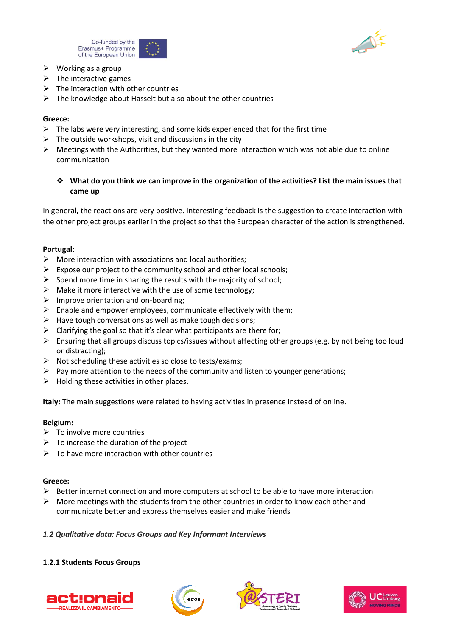



- $\triangleright$  Working as a group
- $\triangleright$  The interactive games
- $\triangleright$  The interaction with other countries
- $\triangleright$  The knowledge about Hasselt but also about the other countries

#### **Greece:**

- $\triangleright$  The labs were very interesting, and some kids experienced that for the first time
- $\triangleright$  The outside workshops, visit and discussions in the city
- $\triangleright$  Meetings with the Authorities, but they wanted more interaction which was not able due to online communication
	- ❖ **What do you think we can improve in the organization of the activities? List the main issues that came up**

In general, the reactions are very positive. Interesting feedback is the suggestion to create interaction with the other project groups earlier in the project so that the European character of the action is strengthened.

#### **Portugal:**

- ➢ More interaction with associations and local authorities;
- $\triangleright$  Expose our project to the community school and other local schools:
- $\triangleright$  Spend more time in sharing the results with the majority of school;
- $\triangleright$  Make it more interactive with the use of some technology;
- $\triangleright$  Improve orientation and on-boarding;
- $\triangleright$  Enable and empower employees, communicate effectively with them;
- $\triangleright$  Have tough conversations as well as make tough decisions;
- $\triangleright$  Clarifying the goal so that it's clear what participants are there for;
- ➢ Ensuring that all groups discuss topics/issues without affecting other groups (e.g. by not being too loud or distracting);
- $\triangleright$  Not scheduling these activities so close to tests/exams:
- $\triangleright$  Pay more attention to the needs of the community and listen to younger generations;
- $\triangleright$  Holding these activities in other places.

**Italy:** The main suggestions were related to having activities in presence instead of online.

#### **Belgium:**

- $\triangleright$  To involve more countries
- $\triangleright$  To increase the duration of the project
- ➢ To have more interaction with other countries

#### **Greece:**

- $\triangleright$  Better internet connection and more computers at school to be able to have more interaction
- $\triangleright$  More meetings with the students from the other countries in order to know each other and communicate better and express themselves easier and make friends

#### *1.2 Qualitative data: Focus Groups and Key Informant Interviews*

#### **1.2.1 Students Focus Groups**







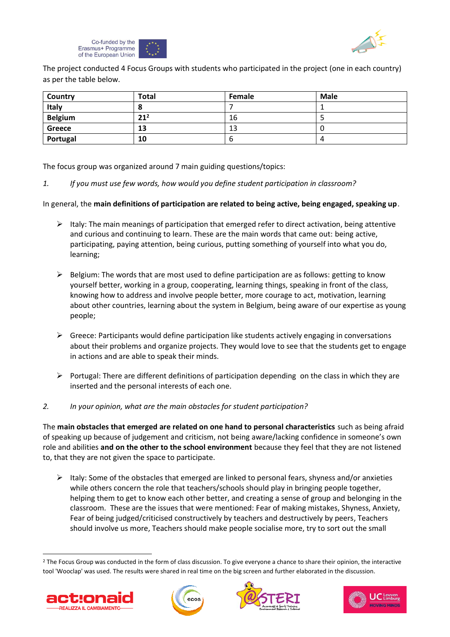



The project conducted 4 Focus Groups with students who participated in the project (one in each country) as per the table below.

| Country        | <b>Total</b>    | Female | <b>Male</b> |
|----------------|-----------------|--------|-------------|
| Italy          |                 |        |             |
| <b>Belgium</b> | 21 <sup>2</sup> | 16     |             |
| <b>Greece</b>  | 13              | 13     | .,          |
| Portugal       | 10              | O      |             |

The focus group was organized around 7 main guiding questions/topics:

*1. If you must use few words, how would you define student participation in classroom?*

In general, the **main definitions of participation are related to being active, being engaged, speaking up**.

- $\triangleright$  Italy: The main meanings of participation that emerged refer to direct activation, being attentive and curious and continuing to learn. These are the main words that came out: being active, participating, paying attention, being curious, putting something of yourself into what you do, learning;
- $\triangleright$  Belgium: The words that are most used to define participation are as follows: getting to know yourself better, working in a group, cooperating, learning things, speaking in front of the class, knowing how to address and involve people better, more courage to act, motivation, learning about other countries, learning about the system in Belgium, being aware of our expertise as young people;
- ➢ Greece: Participants would define participation like students actively engaging in conversations about their problems and organize projects. They would love to see that the students get to engage in actions and are able to speak their minds.
- ➢ Portugal: There are different definitions of participation depending on the class in which they are inserted and the personal interests of each one.
- *2. In your opinion, what are the main obstacles for student participation?*

The **main obstacles that emerged are related on one hand to personal characteristics** such as being afraid of speaking up because of judgement and criticism, not being aware/lacking confidence in someone's own role and abilities **and on the other to the school environment** because they feel that they are not listened to, that they are not given the space to participate.

 $\triangleright$  Italy: Some of the obstacles that emerged are linked to personal fears, shyness and/or anxieties while others concern the role that teachers/schools should play in bringing people together, helping them to get to know each other better, and creating a sense of group and belonging in the classroom. These are the issues that were mentioned: Fear of making mistakes, Shyness, Anxiety, Fear of being judged/criticised constructively by teachers and destructively by peers, Teachers should involve us more, Teachers should make people socialise more, try to sort out the small

<sup>&</sup>lt;sup>2</sup> The Focus Group was conducted in the form of class discussion. To give everyone a chance to share their opinion, the interactive tool 'Wooclap' was used. The results were shared in real time on the big screen and further elaborated in the discussion.







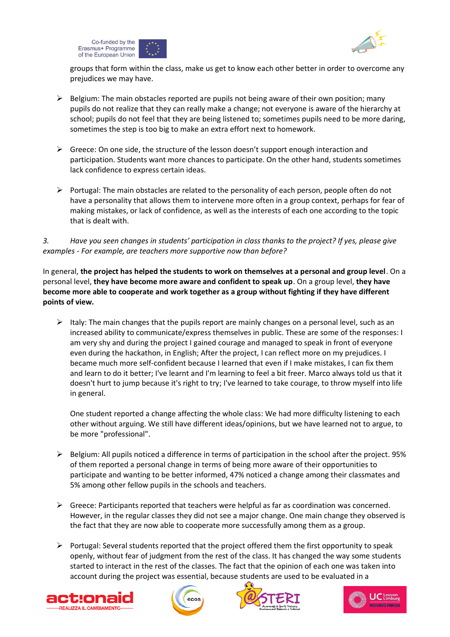



groups that form within the class, make us get to know each other better in order to overcome any prejudices we may have.

- $\triangleright$  Belgium: The main obstacles reported are pupils not being aware of their own position; many pupils do not realize that they can really make a change; not everyone is aware of the hierarchy at school; pupils do not feel that they are being listened to; sometimes pupils need to be more daring, sometimes the step is too big to make an extra effort next to homework.
- $\triangleright$  Greece: On one side, the structure of the lesson doesn't support enough interaction and participation. Students want more chances to participate. On the other hand, students sometimes lack confidence to express certain ideas.
- ➢ Portugal: The main obstacles are related to the personality of each person, people often do not have a personality that allows them to intervene more often in a group context, perhaps for fear of making mistakes, or lack of confidence, as well as the interests of each one according to the topic that is dealt with.

*3. Have you seen changes in students' participation in class thanks to the project? If yes, please give examples - For example, are teachers more supportive now than before?* 

In general, **the project has helped the students to work on themselves at a personal and group level**. On a personal level, **they have become more aware and confident to speak up**. On a group level, **they have become more able to cooperate and work together as a group without fighting if they have different points of view.**

 $\triangleright$  Italy: The main changes that the pupils report are mainly changes on a personal level, such as an increased ability to communicate/express themselves in public. These are some of the responses: I am very shy and during the project I gained courage and managed to speak in front of everyone even during the hackathon, in English; After the project, I can reflect more on my prejudices. I became much more self-confident because I learned that even if I make mistakes, I can fix them and learn to do it better; I've learnt and I'm learning to feel a bit freer. Marco always told us that it doesn't hurt to jump because it's right to try; I've learned to take courage, to throw myself into life in general.

One student reported a change affecting the whole class: We had more difficulty listening to each other without arguing. We still have different ideas/opinions, but we have learned not to argue, to be more "professional".

- $\triangleright$  Belgium: All pupils noticed a difference in terms of participation in the school after the project. 95% of them reported a personal change in terms of being more aware of their opportunities to participate and wanting to be better informed, 47% noticed a change among their classmates and 5% among other fellow pupils in the schools and teachers.
- $\triangleright$  Greece: Participants reported that teachers were helpful as far as coordination was concerned. However, in the regular classes they did not see a major change. One main change they observed is the fact that they are now able to cooperate more successfully among them as a group.
- $\triangleright$  Portugal: Several students reported that the project offered them the first opportunity to speak openly, without fear of judgment from the rest of the class. It has changed the way some students started to interact in the rest of the classes. The fact that the opinion of each one was taken into account during the project was essential, because students are used to be evaluated in a







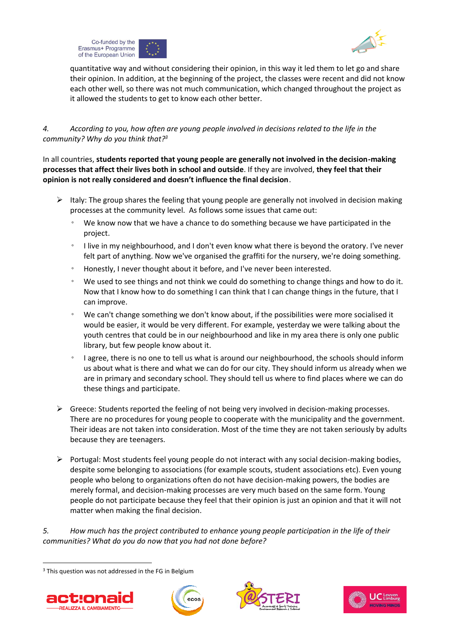



quantitative way and without considering their opinion, in this way it led them to let go and share their opinion. In addition, at the beginning of the project, the classes were recent and did not know each other well, so there was not much communication, which changed throughout the project as it allowed the students to get to know each other better.

*4. According to you, how often are young people involved in decisions related to the life in the community? Why do you think that?<sup>3</sup>* 

In all countries, **students reported that young people are generally not involved in the decision-making processes that affect their lives both in school and outside**. If they are involved, **they feel that their opinion is not really considered and doesn't influence the final decision**.

- $\triangleright$  Italy: The group shares the feeling that young people are generally not involved in decision making processes at the community level. As follows some issues that came out:
	- We know now that we have a chance to do something because we have participated in the project.
	- I live in my neighbourhood, and I don't even know what there is beyond the oratory. I've never felt part of anything. Now we've organised the graffiti for the nursery, we're doing something.
	- Honestly, I never thought about it before, and I've never been interested.
	- We used to see things and not think we could do something to change things and how to do it. Now that I know how to do something I can think that I can change things in the future, that I can improve.
	- We can't change something we don't know about, if the possibilities were more socialised it would be easier, it would be very different. For example, yesterday we were talking about the youth centres that could be in our neighbourhood and like in my area there is only one public library, but few people know about it.
	- I agree, there is no one to tell us what is around our neighbourhood, the schools should inform us about what is there and what we can do for our city. They should inform us already when we are in primary and secondary school. They should tell us where to find places where we can do these things and participate.
- ➢ Greece: Students reported the feeling of not being very involved in decision-making processes. There are no procedures for young people to cooperate with the municipality and the government. Their ideas are not taken into consideration. Most of the time they are not taken seriously by adults because they are teenagers.
- $\triangleright$  Portugal: Most students feel young people do not interact with any social decision-making bodies, despite some belonging to associations (for example scouts, student associations etc). Even young people who belong to organizations often do not have decision-making powers, the bodies are merely formal, and decision-making processes are very much based on the same form. Young people do not participate because they feel that their opinion is just an opinion and that it will not matter when making the final decision.

*5. How much has the project contributed to enhance young people participation in the life of their communities? What do you do now that you had not done before?*

<sup>&</sup>lt;sup>3</sup> This question was not addressed in the FG in Belgium







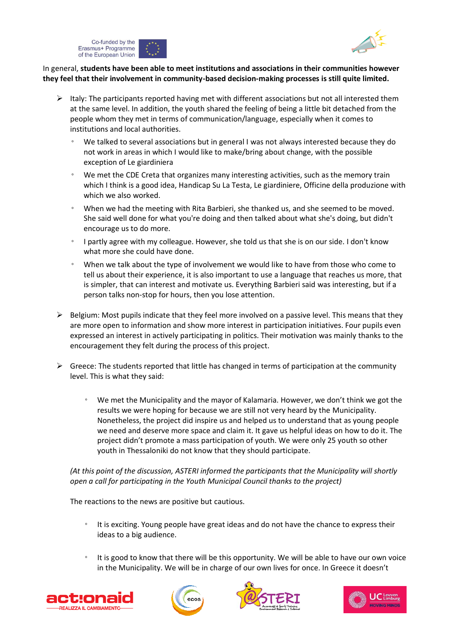



#### In general, **students have been able to meet institutions and associations in their communities however they feel that their involvement in community-based decision-making processes is still quite limited.**

- ➢ Italy: The participants reported having met with different associations but not all interested them at the same level. In addition, the youth shared the feeling of being a little bit detached from the people whom they met in terms of communication/language, especially when it comes to institutions and local authorities.
	- We talked to several associations but in general I was not always interested because they do not work in areas in which I would like to make/bring about change, with the possible exception of Le giardiniera
	- We met the CDE Creta that organizes many interesting activities, such as the memory train which I think is a good idea, Handicap Su La Testa, Le giardiniere, Officine della produzione with which we also worked.
	- When we had the meeting with Rita Barbieri, she thanked us, and she seemed to be moved. She said well done for what you're doing and then talked about what she's doing, but didn't encourage us to do more.
	- I partly agree with my colleague. However, she told us that she is on our side. I don't know what more she could have done.
	- When we talk about the type of involvement we would like to have from those who come to tell us about their experience, it is also important to use a language that reaches us more, that is simpler, that can interest and motivate us. Everything Barbieri said was interesting, but if a person talks non-stop for hours, then you lose attention.
- $\triangleright$  Belgium: Most pupils indicate that they feel more involved on a passive level. This means that they are more open to information and show more interest in participation initiatives. Four pupils even expressed an interest in actively participating in politics. Their motivation was mainly thanks to the encouragement they felt during the process of this project.
- $\triangleright$  Greece: The students reported that little has changed in terms of participation at the community level. This is what they said:
	- We met the Municipality and the mayor of Kalamaria. However, we don't think we got the results we were hoping for because we are still not very heard by the Municipality. Nonetheless, the project did inspire us and helped us to understand that as young people we need and deserve more space and claim it. It gave us helpful ideas on how to do it. The project didn't promote a mass participation of youth. We were only 25 youth so other youth in Thessaloniki do not know that they should participate.

*(At this point of the discussion, ASTERI informed the participants that the Municipality will shortly open a call for participating in the Youth Municipal Council thanks to the project)* 

The reactions to the news are positive but cautious.

- It is exciting. Young people have great ideas and do not have the chance to express their ideas to a big audience.
- It is good to know that there will be this opportunity. We will be able to have our own voice in the Municipality. We will be in charge of our own lives for once. In Greece it doesn't







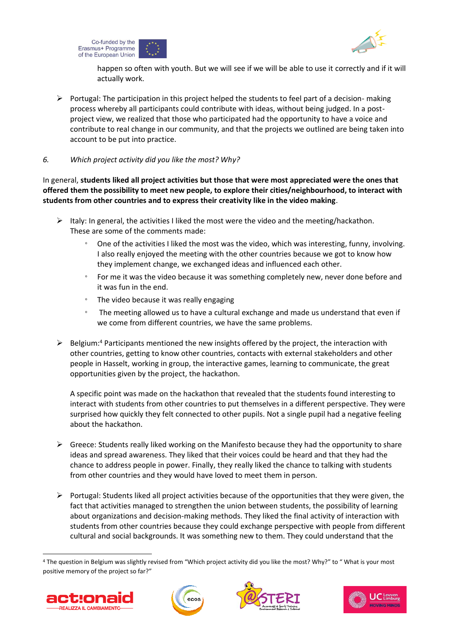



happen so often with youth. But we will see if we will be able to use it correctly and if it will actually work.

 $\triangleright$  Portugal: The participation in this project helped the students to feel part of a decision- making process whereby all participants could contribute with ideas, without being judged. In a postproject view, we realized that those who participated had the opportunity to have a voice and contribute to real change in our community, and that the projects we outlined are being taken into account to be put into practice.

#### *6. Which project activity did you like the most? Why?*

In general, **students liked all project activities but those that were most appreciated were the ones that offered them the possibility to meet new people, to explore their cities/neighbourhood, to interact with students from other countries and to express their creativity like in the video making**.

- $\triangleright$  Italy: In general, the activities I liked the most were the video and the meeting/hackathon. These are some of the comments made:
	- One of the activities I liked the most was the video, which was interesting, funny, involving. I also really enjoyed the meeting with the other countries because we got to know how they implement change, we exchanged ideas and influenced each other.
	- For me it was the video because it was something completely new, never done before and it was fun in the end.
	- The video because it was really engaging
	- The meeting allowed us to have a cultural exchange and made us understand that even if we come from different countries, we have the same problems.
- $\triangleright$  Belgium:<sup>4</sup> Participants mentioned the new insights offered by the project, the interaction with other countries, getting to know other countries, contacts with external stakeholders and other people in Hasselt, working in group, the interactive games, learning to communicate, the great opportunities given by the project, the hackathon.

A specific point was made on the hackathon that revealed that the students found interesting to interact with students from other countries to put themselves in a different perspective. They were surprised how quickly they felt connected to other pupils. Not a single pupil had a negative feeling about the hackathon.

- $\triangleright$  Greece: Students really liked working on the Manifesto because they had the opportunity to share ideas and spread awareness. They liked that their voices could be heard and that they had the chance to address people in power. Finally, they really liked the chance to talking with students from other countries and they would have loved to meet them in person.
- ➢ Portugal: Students liked all project activities because of the opportunities that they were given, the fact that activities managed to strengthen the union between students, the possibility of learning about organizations and decision-making methods. They liked the final activity of interaction with students from other countries because they could exchange perspective with people from different cultural and social backgrounds. It was something new to them. They could understand that the

<sup>4</sup> The question in Belgium was slightly revised from "Which project activity did you like the most? Why?" to " What is your most positive memory of the project so far?"







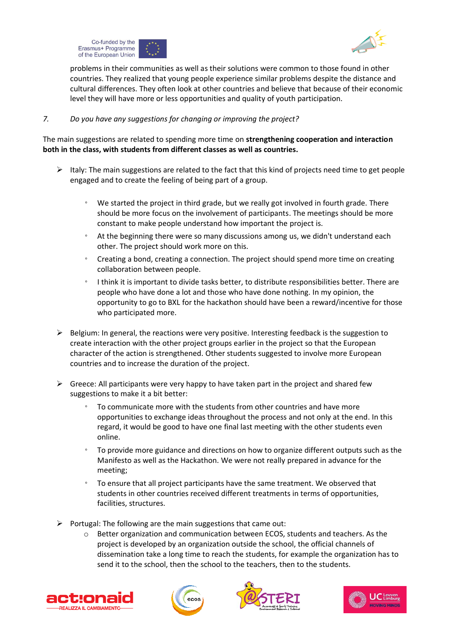



problems in their communities as well as their solutions were common to those found in other countries. They realized that young people experience similar problems despite the distance and cultural differences. They often look at other countries and believe that because of their economic level they will have more or less opportunities and quality of youth participation.

#### *7. Do you have any suggestions for changing or improving the project?*

The main suggestions are related to spending more time on **strengthening cooperation and interaction both in the class, with students from different classes as well as countries.** 

- $\triangleright$  Italy: The main suggestions are related to the fact that this kind of projects need time to get people engaged and to create the feeling of being part of a group.
	- We started the project in third grade, but we really got involved in fourth grade. There should be more focus on the involvement of participants. The meetings should be more constant to make people understand how important the project is.
	- At the beginning there were so many discussions among us, we didn't understand each other. The project should work more on this.
	- Creating a bond, creating a connection. The project should spend more time on creating collaboration between people.
	- I think it is important to divide tasks better, to distribute responsibilities better. There are people who have done a lot and those who have done nothing. In my opinion, the opportunity to go to BXL for the hackathon should have been a reward/incentive for those who participated more.
- $\triangleright$  Belgium: In general, the reactions were very positive. Interesting feedback is the suggestion to create interaction with the other project groups earlier in the project so that the European character of the action is strengthened. Other students suggested to involve more European countries and to increase the duration of the project.
- $\triangleright$  Greece: All participants were very happy to have taken part in the project and shared few suggestions to make it a bit better:
	- To communicate more with the students from other countries and have more opportunities to exchange ideas throughout the process and not only at the end. In this regard, it would be good to have one final last meeting with the other students even online.
	- To provide more guidance and directions on how to organize different outputs such as the Manifesto as well as the Hackathon. We were not really prepared in advance for the meeting;
	- To ensure that all project participants have the same treatment. We observed that students in other countries received different treatments in terms of opportunities, facilities, structures.
- $\triangleright$  Portugal: The following are the main suggestions that came out:
	- $\circ$  Better organization and communication between ECOS, students and teachers. As the project is developed by an organization outside the school, the official channels of dissemination take a long time to reach the students, for example the organization has to send it to the school, then the school to the teachers, then to the students.







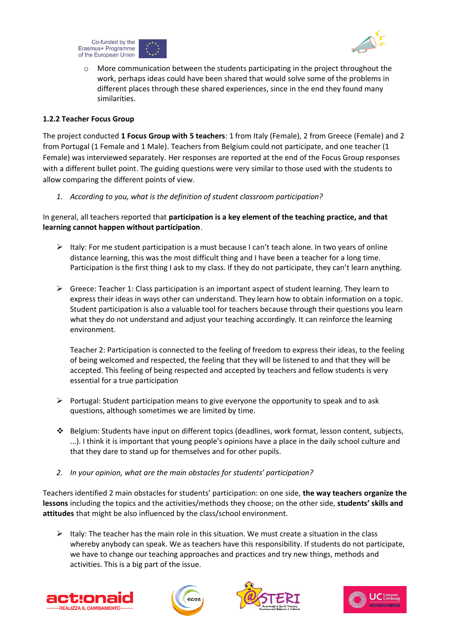



o More communication between the students participating in the project throughout the work, perhaps ideas could have been shared that would solve some of the problems in different places through these shared experiences, since in the end they found many similarities.

#### **1.2.2 Teacher Focus Group**

The project conducted **1 Focus Group with 5 teachers**: 1 from Italy (Female), 2 from Greece (Female) and 2 from Portugal (1 Female and 1 Male). Teachers from Belgium could not participate, and one teacher (1 Female) was interviewed separately. Her responses are reported at the end of the Focus Group responses with a different bullet point. The guiding questions were very similar to those used with the students to allow comparing the different points of view.

*1. According to you, what is the definition of student classroom participation?*

In general, all teachers reported that **participation is a key element of the teaching practice, and that learning cannot happen without participation**.

- $\triangleright$  Italy: For me student participation is a must because I can't teach alone. In two years of online distance learning, this was the most difficult thing and I have been a teacher for a long time. Participation is the first thing I ask to my class. If they do not participate, they can't learn anything.
- $\triangleright$  Greece: Teacher 1: Class participation is an important aspect of student learning. They learn to express their ideas in ways other can understand. They learn how to obtain information on a topic. Student participation is also a valuable tool for teachers because through their questions you learn what they do not understand and adjust your teaching accordingly. It can reinforce the learning environment.

Teacher 2: Participation is connected to the feeling of freedom to express their ideas, to the feeling of being welcomed and respected, the feeling that they will be listened to and that they will be accepted. This feeling of being respected and accepted by teachers and fellow students is very essential for a true participation

- ➢ Portugal: Student participation means to give everyone the opportunity to speak and to ask questions, although sometimes we are limited by time.
- ❖ Belgium: Students have input on different topics (deadlines, work format, lesson content, subjects, ...). I think it is important that young people's opinions have a place in the daily school culture and that they dare to stand up for themselves and for other pupils.
- *2. In your opinion, what are the main obstacles for students' participation?*

Teachers identified 2 main obstacles for students' participation: on one side, **the way teachers organize the lessons** including the topics and the activities/methods they choose; on the other side, **students' skills and attitudes** that might be also influenced by the class/school environment.

 $\triangleright$  Italy: The teacher has the main role in this situation. We must create a situation in the class whereby anybody can speak. We as teachers have this responsibility. If students do not participate, we have to change our teaching approaches and practices and try new things, methods and activities. This is a big part of the issue.







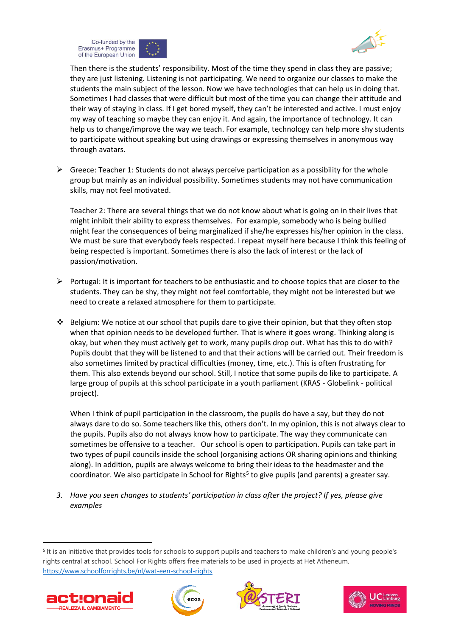



Then there is the students' responsibility. Most of the time they spend in class they are passive; they are just listening. Listening is not participating. We need to organize our classes to make the students the main subject of the lesson. Now we have technologies that can help us in doing that. Sometimes I had classes that were difficult but most of the time you can change their attitude and their way of staying in class. If I get bored myself, they can't be interested and active. I must enjoy my way of teaching so maybe they can enjoy it. And again, the importance of technology. It can help us to change/improve the way we teach. For example, technology can help more shy students to participate without speaking but using drawings or expressing themselves in anonymous way through avatars.

 $\triangleright$  Greece: Teacher 1: Students do not always perceive participation as a possibility for the whole group but mainly as an individual possibility. Sometimes students may not have communication skills, may not feel motivated.

Teacher 2: There are several things that we do not know about what is going on in their lives that might inhibit their ability to express themselves. For example, somebody who is being bullied might fear the consequences of being marginalized if she/he expresses his/her opinion in the class. We must be sure that everybody feels respected. I repeat myself here because I think this feeling of being respected is important. Sometimes there is also the lack of interest or the lack of passion/motivation.

- $\triangleright$  Portugal: It is important for teachers to be enthusiastic and to choose topics that are closer to the students. They can be shy, they might not feel comfortable, they might not be interested but we need to create a relaxed atmosphere for them to participate.
- ❖ Belgium: We notice at our school that pupils dare to give their opinion, but that they often stop when that opinion needs to be developed further. That is where it goes wrong. Thinking along is okay, but when they must actively get to work, many pupils drop out. What has this to do with? Pupils doubt that they will be listened to and that their actions will be carried out. Their freedom is also sometimes limited by practical difficulties (money, time, etc.). This is often frustrating for them. This also extends beyond our school. Still, I notice that some pupils do like to participate. A large group of pupils at this school participate in a youth parliament (KRAS - Globelink - political project).

When I think of pupil participation in the classroom, the pupils do have a say, but they do not always dare to do so. Some teachers like this, others don't. In my opinion, this is not always clear to the pupils. Pupils also do not always know how to participate. The way they communicate can sometimes be offensive to a teacher. Our school is open to participation. Pupils can take part in two types of pupil councils inside the school (organising actions OR sharing opinions and thinking along). In addition, pupils are always welcome to bring their ideas to the headmaster and the coordinator. We also participate in School for Rights<sup>5</sup> to give pupils (and parents) a greater say.

*3.* Have you seen changes to students' participation in class after the project? If yes, please give *examples*

<sup>&</sup>lt;sup>5</sup> It is an initiative that provides tools for schools to support pupils and teachers to make children's and young people's rights central at school. School For Rights offers free materials to be used in projects at Het Atheneum. <https://www.schoolforrights.be/nl/wat-een-school-rights>







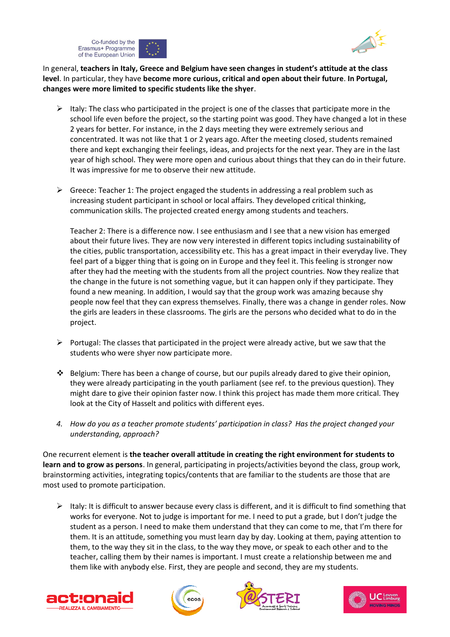



In general, **teachers in Italy, Greece and Belgium have seen changes in student's attitude at the class level**. In particular, they have **become more curious, critical and open about their future**. **In Portugal, changes were more limited to specific students like the shyer**.

- $\triangleright$  Italy: The class who participated in the project is one of the classes that participate more in the school life even before the project, so the starting point was good. They have changed a lot in these 2 years for better. For instance, in the 2 days meeting they were extremely serious and concentrated. It was not like that 1 or 2 years ago. After the meeting closed, students remained there and kept exchanging their feelings, ideas, and projects for the next year. They are in the last year of high school. They were more open and curious about things that they can do in their future. It was impressive for me to observe their new attitude.
- ➢ Greece: Teacher 1: The project engaged the students in addressing a real problem such as increasing student participant in school or local affairs. They developed critical thinking, communication skills. The projected created energy among students and teachers.

Teacher 2: There is a difference now. I see enthusiasm and I see that a new vision has emerged about their future lives. They are now very interested in different topics including sustainability of the cities, public transportation, accessibility etc. This has a great impact in their everyday live. They feel part of a bigger thing that is going on in Europe and they feel it. This feeling is stronger now after they had the meeting with the students from all the project countries. Now they realize that the change in the future is not something vague, but it can happen only if they participate. They found a new meaning. In addition, I would say that the group work was amazing because shy people now feel that they can express themselves. Finally, there was a change in gender roles. Now the girls are leaders in these classrooms. The girls are the persons who decided what to do in the project.

- $\triangleright$  Portugal: The classes that participated in the project were already active, but we saw that the students who were shyer now participate more.
- $\clubsuit$  Belgium: There has been a change of course, but our pupils already dared to give their opinion, they were already participating in the youth parliament (see ref. to the previous question). They might dare to give their opinion faster now. I think this project has made them more critical. They look at the City of Hasselt and politics with different eyes.
- *4. How do you as a teacher promote students' participation in class?  Has the project changed your understanding, approach?*

One recurrent element is **the teacher overall attitude in creating the right environment for students to learn and to grow as persons**. In general, participating in projects/activities beyond the class, group work, brainstorming activities, integrating topics/contents that are familiar to the students are those that are most used to promote participation.

 $\triangleright$  Italy: It is difficult to answer because every class is different, and it is difficult to find something that works for everyone. Not to judge is important for me. I need to put a grade, but I don't judge the student as a person. I need to make them understand that they can come to me, that I'm there for them. It is an attitude, something you must learn day by day. Looking at them, paying attention to them, to the way they sit in the class, to the way they move, or speak to each other and to the teacher, calling them by their names is important. I must create a relationship between me and them like with anybody else. First, they are people and second, they are my students.







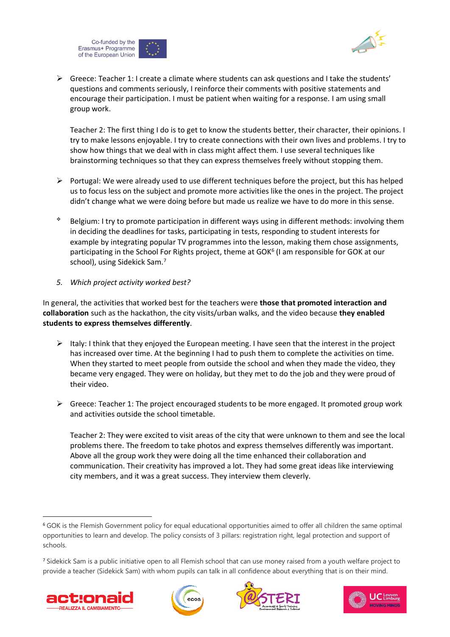



➢ Greece: Teacher 1: I create a climate where students can ask questions and I take the students' questions and comments seriously, I reinforce their comments with positive statements and encourage their participation. I must be patient when waiting for a response. I am using small group work.

Teacher 2: The first thing I do is to get to know the students better, their character, their opinions. I try to make lessons enjoyable. I try to create connections with their own lives and problems. I try to show how things that we deal with in class might affect them. I use several techniques like brainstorming techniques so that they can express themselves freely without stopping them.

- $\triangleright$  Portugal: We were already used to use different techniques before the project, but this has helped us to focus less on the subject and promote more activities like the ones in the project. The project didn't change what we were doing before but made us realize we have to do more in this sense.
- ❖ Belgium: I try to promote participation in different ways using in different methods: involving them in deciding the deadlines for tasks, participating in tests, responding to student interests for example by integrating popular TV programmes into the lesson, making them chose assignments, participating in the School For Rights project, theme at GOK<sup>6</sup> (I am responsible for GOK at our school), using Sidekick Sam.<sup>7</sup>
- *5. Which project activity worked best?*

In general, the activities that worked best for the teachers were **those that promoted interaction and collaboration** such as the hackathon, the city visits/urban walks, and the video because **they enabled students to express themselves differently**.

- $\triangleright$  Italy: I think that they enjoyed the European meeting. I have seen that the interest in the project has increased over time. At the beginning I had to push them to complete the activities on time. When they started to meet people from outside the school and when they made the video, they became very engaged. They were on holiday, but they met to do the job and they were proud of their video.
- $\triangleright$  Greece: Teacher 1: The project encouraged students to be more engaged. It promoted group work and activities outside the school timetable.

Teacher 2: They were excited to visit areas of the city that were unknown to them and see the local problems there. The freedom to take photos and express themselves differently was important. Above all the group work they were doing all the time enhanced their collaboration and communication. Their creativity has improved a lot. They had some great ideas like interviewing city members, and it was a great success. They interview them cleverly.

<sup>7</sup> Sidekick Sam is a public initiative open to all Flemish school that can use money raised from a youth welfare project to provide a teacher (Sidekick Sam) with whom pupils can talk in all confidence about everything that is on their mind.









<sup>6</sup> GOK is the Flemish Government policy for equal educational opportunities aimed to offer all children the same optimal opportunities to learn and develop. The policy consists of 3 pillars: registration right, legal protection and support of schools.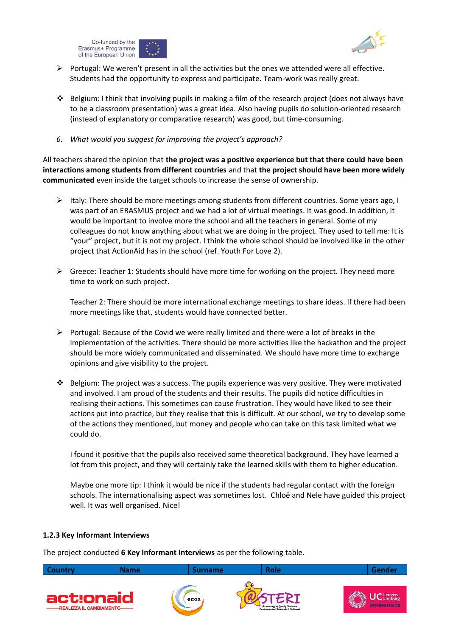



- $\triangleright$  Portugal: We weren't present in all the activities but the ones we attended were all effective. Students had the opportunity to express and participate. Team-work was really great.
- $\dots$  Belgium: I think that involving pupils in making a film of the research project (does not always have to be a classroom presentation) was a great idea. Also having pupils do solution-oriented research (instead of explanatory or comparative research) was good, but time-consuming.
- *6. What would you suggest for improving the project's approach?*

All teachers shared the opinion that **the project was a positive experience but that there could have been interactions among students from different countries** and that **the project should have been more widely communicated** even inside the target schools to increase the sense of ownership.

- $\triangleright$  Italy: There should be more meetings among students from different countries. Some years ago, I was part of an ERASMUS project and we had a lot of virtual meetings. It was good. In addition, it would be important to involve more the school and all the teachers in general. Some of my colleagues do not know anything about what we are doing in the project. They used to tell me: It is "your" project, but it is not my project. I think the whole school should be involved like in the other project that ActionAid has in the school (ref. Youth For Love 2).
- $\triangleright$  Greece: Teacher 1: Students should have more time for working on the project. They need more time to work on such project.

Teacher 2: There should be more international exchange meetings to share ideas. If there had been more meetings like that, students would have connected better.

- $\triangleright$  Portugal: Because of the Covid we were really limited and there were a lot of breaks in the implementation of the activities. There should be more activities like the hackathon and the project should be more widely communicated and disseminated. We should have more time to exchange opinions and give visibility to the project.
- $\cdot \cdot$  Belgium: The project was a success. The pupils experience was very positive. They were motivated and involved. I am proud of the students and their results. The pupils did notice difficulties in realising their actions. This sometimes can cause frustration. They would have liked to see their actions put into practice, but they realise that this is difficult. At our school, we try to develop some of the actions they mentioned, but money and people who can take on this task limited what we could do.

I found it positive that the pupils also received some theoretical background. They have learned a lot from this project, and they will certainly take the learned skills with them to higher education.

Maybe one more tip: I think it would be nice if the students had regular contact with the foreign schools. The internationalising aspect was sometimes lost. Chloë and Nele have guided this project well. It was well organised. Nice!

#### **1.2.3 Key Informant Interviews**

The project conducted **6 Key Informant Interviews** as per the following table.

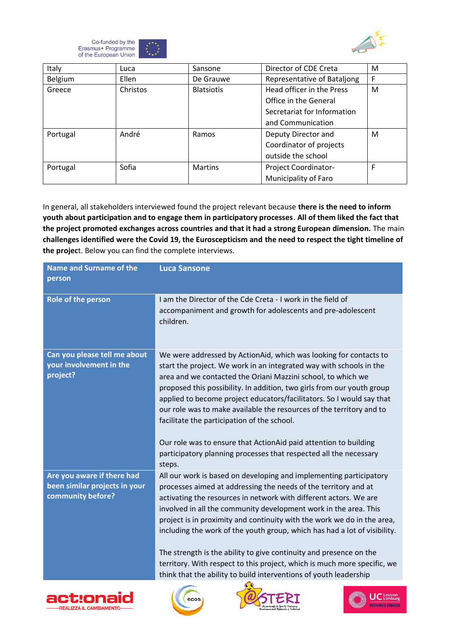![](_page_20_Picture_0.jpeg)

![](_page_20_Picture_1.jpeg)

| Italy    | Luca         | Sansone           | Director of CDE Creta       | M  |
|----------|--------------|-------------------|-----------------------------|----|
| Belgium  | <b>Ellen</b> | De Grauwe         | Representative of Bataljong | F  |
| Greece   | Christos     | <b>Blatsiotis</b> | Head officer in the Press   | M  |
|          |              |                   | Office in the General       |    |
|          |              |                   | Secretariat for Information |    |
|          |              |                   | and Communication           |    |
| Portugal | André        | Ramos             | Deputy Director and         | M  |
|          |              |                   | Coordinator of projects     |    |
|          |              |                   | outside the school          |    |
| Portugal | Sofia        | <b>Martins</b>    | Project Coordinator-        | F. |
|          |              |                   | Municipality of Faro        |    |

In general, all stakeholders interviewed found the project relevant because **there is the need to inform youth about participation and to engage them in participatory processes**. **All of them liked the fact that the project promoted exchanges across countries and that it had a strong European dimension.** The main **challenges identified were the Covid 19, the Euroscepticism and the need to respect the tight timeline of the projec**t. Below you can find the complete interviews.

| <b>Name and Surname of the</b><br>person                                         | <b>Luca Sansone</b>                                                                                                                                                                                                                                                                                                                                                                                                                                                                                                                                                                                                                                                  |
|----------------------------------------------------------------------------------|----------------------------------------------------------------------------------------------------------------------------------------------------------------------------------------------------------------------------------------------------------------------------------------------------------------------------------------------------------------------------------------------------------------------------------------------------------------------------------------------------------------------------------------------------------------------------------------------------------------------------------------------------------------------|
| Role of the person                                                               | I am the Director of the Cde Creta - I work in the field of<br>accompaniment and growth for adolescents and pre-adolescent<br>children.                                                                                                                                                                                                                                                                                                                                                                                                                                                                                                                              |
| Can you please tell me about<br>your involvement in the<br>project?              | We were addressed by ActionAid, which was looking for contacts to<br>start the project. We work in an integrated way with schools in the<br>area and we contacted the Oriani Mazzini school, to which we<br>proposed this possibility. In addition, two girls from our youth group<br>applied to become project educators/facilitators. So I would say that<br>our role was to make available the resources of the territory and to<br>facilitate the participation of the school.<br>Our role was to ensure that ActionAid paid attention to building<br>participatory planning processes that respected all the necessary<br>steps.                                |
| Are you aware if there had<br>been similar projects in your<br>community before? | All our work is based on developing and implementing participatory<br>processes aimed at addressing the needs of the territory and at<br>activating the resources in network with different actors. We are<br>involved in all the community development work in the area. This<br>project is in proximity and continuity with the work we do in the area,<br>including the work of the youth group, which has had a lot of visibility.<br>The strength is the ability to give continuity and presence on the<br>territory. With respect to this project, which is much more specific, we<br>think that the ability to build interventions of youth leadership<br>G O |

![](_page_20_Picture_5.jpeg)

![](_page_20_Picture_6.jpeg)

![](_page_20_Picture_7.jpeg)

![](_page_20_Picture_8.jpeg)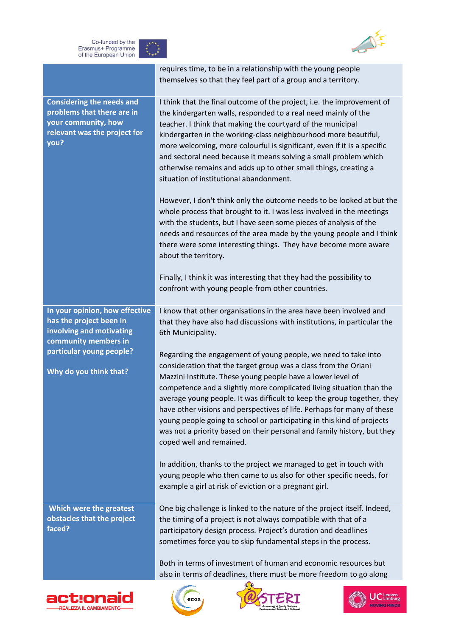![](_page_21_Picture_0.jpeg)

![](_page_21_Picture_1.jpeg)

|                                                                                                                                                                     | themselves so that they feel part of a group and a territory.                                                                                                                                                                                                                                                                                                                                                                                                                                                                                                                                                                                                                                                                                                                                                                                                                                                                                                                                |
|---------------------------------------------------------------------------------------------------------------------------------------------------------------------|----------------------------------------------------------------------------------------------------------------------------------------------------------------------------------------------------------------------------------------------------------------------------------------------------------------------------------------------------------------------------------------------------------------------------------------------------------------------------------------------------------------------------------------------------------------------------------------------------------------------------------------------------------------------------------------------------------------------------------------------------------------------------------------------------------------------------------------------------------------------------------------------------------------------------------------------------------------------------------------------|
| <b>Considering the needs and</b><br>problems that there are in<br>your community, how<br>relevant was the project for<br>you?                                       | I think that the final outcome of the project, i.e. the improvement of<br>the kindergarten walls, responded to a real need mainly of the<br>teacher. I think that making the courtyard of the municipal<br>kindergarten in the working-class neighbourhood more beautiful,<br>more welcoming, more colourful is significant, even if it is a specific<br>and sectoral need because it means solving a small problem which<br>otherwise remains and adds up to other small things, creating a<br>situation of institutional abandonment.<br>However, I don't think only the outcome needs to be looked at but the<br>whole process that brought to it. I was less involved in the meetings<br>with the students, but I have seen some pieces of analysis of the<br>needs and resources of the area made by the young people and I think<br>there were some interesting things. They have become more aware<br>about the territory.                                                            |
|                                                                                                                                                                     | Finally, I think it was interesting that they had the possibility to<br>confront with young people from other countries.                                                                                                                                                                                                                                                                                                                                                                                                                                                                                                                                                                                                                                                                                                                                                                                                                                                                     |
| In your opinion, how effective<br>has the project been in<br>involving and motivating<br>community members in<br>particular young people?<br>Why do you think that? | I know that other organisations in the area have been involved and<br>that they have also had discussions with institutions, in particular the<br>6th Municipality.<br>Regarding the engagement of young people, we need to take into<br>consideration that the target group was a class from the Oriani<br>Mazzini Institute. These young people have a lower level of<br>competence and a slightly more complicated living situation than the<br>average young people. It was difficult to keep the group together, they<br>have other visions and perspectives of life. Perhaps for many of these<br>young people going to school or participating in this kind of projects<br>was not a priority based on their personal and family history, but they<br>coped well and remained.<br>In addition, thanks to the project we managed to get in touch with<br>young people who then came to us also for other specific needs, for<br>example a girl at risk of eviction or a pregnant girl. |
| Which were the greatest<br>obstacles that the project<br>faced?                                                                                                     | One big challenge is linked to the nature of the project itself. Indeed,<br>the timing of a project is not always compatible with that of a<br>participatory design process. Project's duration and deadlines<br>sometimes force you to skip fundamental steps in the process.<br>Both in terms of investment of human and economic resources but                                                                                                                                                                                                                                                                                                                                                                                                                                                                                                                                                                                                                                            |
|                                                                                                                                                                     | also in terms of deadlines, there must be more freedom to go along                                                                                                                                                                                                                                                                                                                                                                                                                                                                                                                                                                                                                                                                                                                                                                                                                                                                                                                           |

requires time, to be in a relationship with the young people

![](_page_21_Picture_3.jpeg)

![](_page_21_Picture_4.jpeg)

![](_page_21_Picture_5.jpeg)

![](_page_21_Picture_6.jpeg)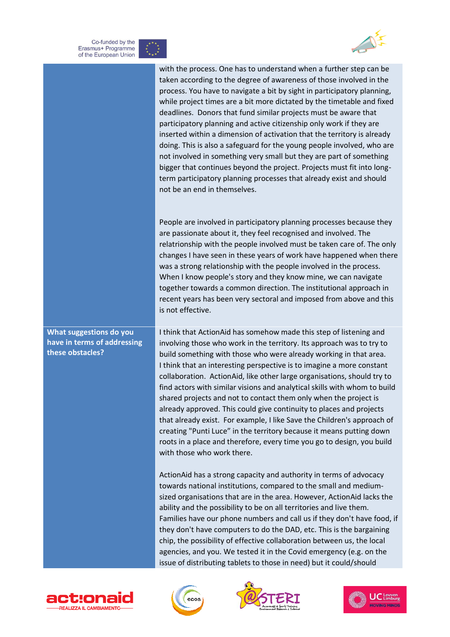![](_page_22_Picture_0.jpeg)

![](_page_22_Picture_1.jpeg)

![](_page_22_Picture_2.jpeg)

with the process. One has to understand when a further step can be taken according to the degree of awareness of those involved in the process. You have to navigate a bit by sight in participatory planning, while project times are a bit more dictated by the timetable and fixed deadlines. Donors that fund similar projects must be aware that participatory planning and active citizenship only work if they are inserted within a dimension of activation that the territory is already doing. This is also a safeguard for the young people involved, who are not involved in something very small but they are part of something bigger that continues beyond the project. Projects must fit into longterm participatory planning processes that already exist and should not be an end in themselves.

People are involved in participatory planning processes because they are passionate about it, they feel recognised and involved. The relatrionship with the people involved must be taken care of. The only changes I have seen in these years of work have happened when there was a strong relationship with the people involved in the process. When I know people's story and they know mine, we can navigate together towards a common direction. The institutional approach in recent years has been very sectoral and imposed from above and this is not effective.

I think that ActionAid has somehow made this step of listening and involving those who work in the territory. Its approach was to try to build something with those who were already working in that area. I think that an interesting perspective is to imagine a more constant collaboration. ActionAid, like other large organisations, should try to find actors with similar visions and analytical skills with whom to build shared projects and not to contact them only when the project is already approved. This could give continuity to places and projects that already exist. For example, I like Save the Children's approach of creating "Punti Luce" in the territory because it means putting down roots in a place and therefore, every time you go to design, you build with those who work there.

ActionAid has a strong capacity and authority in terms of advocacy towards national institutions, compared to the small and mediumsized organisations that are in the area. However, ActionAid lacks the ability and the possibility to be on all territories and live them. Families have our phone numbers and call us if they don't have food, if they don't have computers to do the DAD, etc. This is the bargaining chip, the possibility of effective collaboration between us, the local agencies, and you. We tested it in the Covid emergency (e.g. on the issue of distributing tablets to those in need) but it could/should

![](_page_22_Picture_7.jpeg)

![](_page_22_Picture_8.jpeg)

![](_page_22_Picture_9.jpeg)

![](_page_22_Picture_10.jpeg)

**What suggestions do you have in terms of addressing these obstacles?**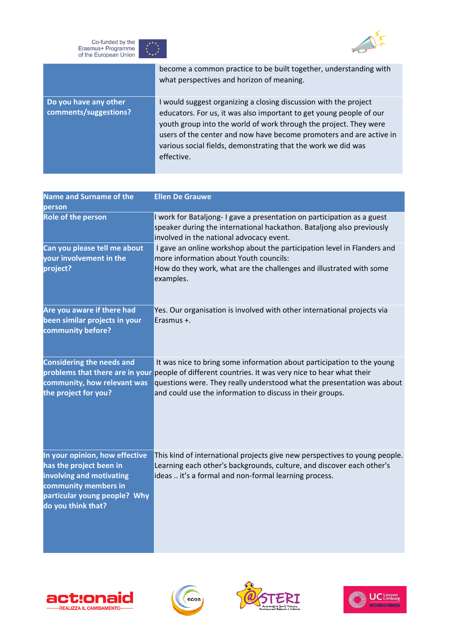![](_page_23_Picture_0.jpeg)

![](_page_23_Picture_1.jpeg)

|                                                | become a common practice to be built together, understanding with<br>what perspectives and horizon of meaning.                                                                                                                                                                                                                                                     |
|------------------------------------------------|--------------------------------------------------------------------------------------------------------------------------------------------------------------------------------------------------------------------------------------------------------------------------------------------------------------------------------------------------------------------|
| Do you have any other<br>comments/suggestions? | I would suggest organizing a closing discussion with the project<br>educators. For us, it was also important to get young people of our<br>youth group into the world of work through the project. They were<br>users of the center and now have become promoters and are active in<br>various social fields, demonstrating that the work we did was<br>effective. |

| <b>Name and Surname of the</b><br>person                                                                                                                            | <b>Ellen De Grauwe</b>                                                                                                                                                                                                                                 |
|---------------------------------------------------------------------------------------------------------------------------------------------------------------------|--------------------------------------------------------------------------------------------------------------------------------------------------------------------------------------------------------------------------------------------------------|
| <b>Role of the person</b>                                                                                                                                           | I work for Bataljong-I gave a presentation on participation as a guest<br>speaker during the international hackathon. Bataljong also previously<br>involved in the national advocacy event.                                                            |
| Can you please tell me about                                                                                                                                        | I gave an online workshop about the participation level in Flanders and                                                                                                                                                                                |
| your involvement in the<br>project?                                                                                                                                 | more information about Youth councils:<br>How do they work, what are the challenges and illustrated with some<br>examples.                                                                                                                             |
| Are you aware if there had<br>been similar projects in your<br>community before?                                                                                    | Yes. Our organisation is involved with other international projects via<br>Erasmus +.                                                                                                                                                                  |
| <b>Considering the needs and</b><br>community, how relevant was                                                                                                     | It was nice to bring some information about participation to the young<br>problems that there are in your people of different countries. It was very nice to hear what their<br>questions were. They really understood what the presentation was about |
| the project for you?                                                                                                                                                | and could use the information to discuss in their groups.                                                                                                                                                                                              |
| In your opinion, how effective<br>has the project been in<br>involving and motivating<br>community members in<br>particular young people? Why<br>do you think that? | This kind of international projects give new perspectives to young people.<br>Learning each other's backgrounds, culture, and discover each other's<br>ideas  it's a formal and non-formal learning process.                                           |

![](_page_23_Picture_4.jpeg)

![](_page_23_Picture_5.jpeg)

![](_page_23_Picture_6.jpeg)

![](_page_23_Picture_7.jpeg)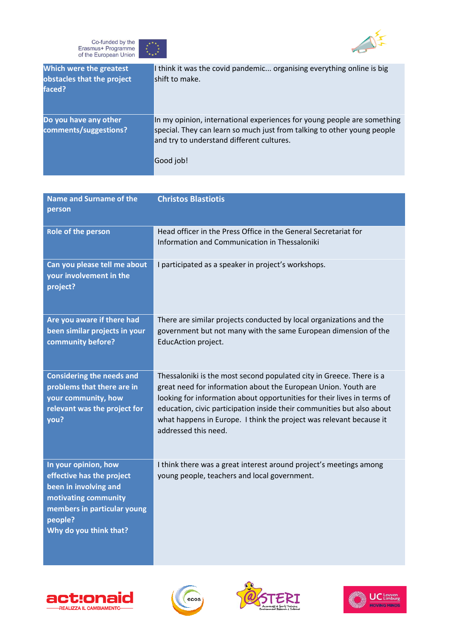![](_page_24_Picture_0.jpeg)

![](_page_24_Picture_1.jpeg)

| Which were the greatest<br>obstacles that the project<br>faced? | I think it was the covid pandemic organising everything online is big<br>shift to make.                                                                                                                      |
|-----------------------------------------------------------------|--------------------------------------------------------------------------------------------------------------------------------------------------------------------------------------------------------------|
| Do you have any other<br>comments/suggestions?                  | In my opinion, international experiences for young people are something<br>special. They can learn so much just from talking to other young people<br>and try to understand different cultures.<br>Good job! |

| <b>Name and Surname of the</b><br>person                                                                                                                               | <b>Christos Blastiotis</b>                                                                                                                                                                                                                                                                                                                                                                 |
|------------------------------------------------------------------------------------------------------------------------------------------------------------------------|--------------------------------------------------------------------------------------------------------------------------------------------------------------------------------------------------------------------------------------------------------------------------------------------------------------------------------------------------------------------------------------------|
|                                                                                                                                                                        |                                                                                                                                                                                                                                                                                                                                                                                            |
| Role of the person                                                                                                                                                     | Head officer in the Press Office in the General Secretariat for<br>Information and Communication in Thessaloniki                                                                                                                                                                                                                                                                           |
| Can you please tell me about<br>your involvement in the<br>project?                                                                                                    | I participated as a speaker in project's workshops.                                                                                                                                                                                                                                                                                                                                        |
| Are you aware if there had<br>been similar projects in your<br>community before?                                                                                       | There are similar projects conducted by local organizations and the<br>government but not many with the same European dimension of the<br>EducAction project.                                                                                                                                                                                                                              |
| <b>Considering the needs and</b><br>problems that there are in<br>your community, how<br>relevant was the project for<br>you?                                          | Thessaloniki is the most second populated city in Greece. There is a<br>great need for information about the European Union. Youth are<br>looking for information about opportunities for their lives in terms of<br>education, civic participation inside their communities but also about<br>what happens in Europe. I think the project was relevant because it<br>addressed this need. |
| In your opinion, how<br>effective has the project<br>been in involving and<br>motivating community<br>members in particular young<br>people?<br>Why do you think that? | I think there was a great interest around project's meetings among<br>young people, teachers and local government.                                                                                                                                                                                                                                                                         |

![](_page_24_Picture_4.jpeg)

![](_page_24_Picture_5.jpeg)

![](_page_24_Picture_6.jpeg)

![](_page_24_Picture_7.jpeg)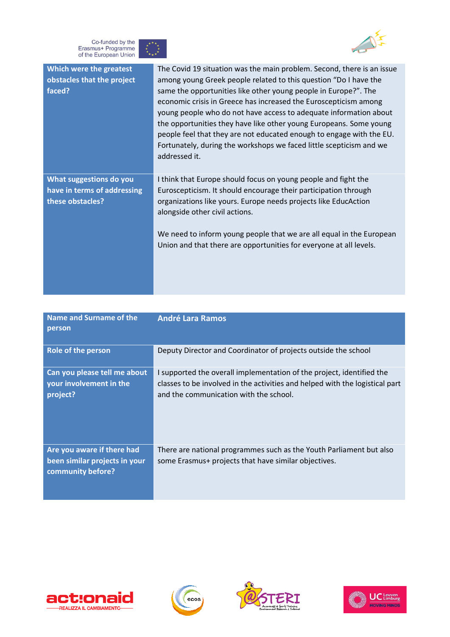![](_page_25_Picture_0.jpeg)

![](_page_25_Picture_1.jpeg)

| Which were the greatest<br>obstacles that the project<br>faced?            | The Covid 19 situation was the main problem. Second, there is an issue<br>among young Greek people related to this question "Do I have the<br>same the opportunities like other young people in Europe?". The<br>economic crisis in Greece has increased the Euroscepticism among<br>young people who do not have access to adequate information about<br>the opportunities they have like other young Europeans. Some young<br>people feel that they are not educated enough to engage with the EU.<br>Fortunately, during the workshops we faced little scepticism and we<br>addressed it. |
|----------------------------------------------------------------------------|----------------------------------------------------------------------------------------------------------------------------------------------------------------------------------------------------------------------------------------------------------------------------------------------------------------------------------------------------------------------------------------------------------------------------------------------------------------------------------------------------------------------------------------------------------------------------------------------|
| What suggestions do you<br>have in terms of addressing<br>these obstacles? | I think that Europe should focus on young people and fight the<br>Euroscepticism. It should encourage their participation through<br>organizations like yours. Europe needs projects like EducAction<br>alongside other civil actions.<br>We need to inform young people that we are all equal in the European<br>Union and that there are opportunities for everyone at all levels.                                                                                                                                                                                                         |

| Name and Surname of the<br>person                                                | <b>André Lara Ramos</b>                                                                                                                                                                         |
|----------------------------------------------------------------------------------|-------------------------------------------------------------------------------------------------------------------------------------------------------------------------------------------------|
| <b>Role of the person</b>                                                        | Deputy Director and Coordinator of projects outside the school                                                                                                                                  |
| Can you please tell me about<br>your involvement in the<br>project?              | I supported the overall implementation of the project, identified the<br>classes to be involved in the activities and helped with the logistical part<br>and the communication with the school. |
| Are you aware if there had<br>been similar projects in your<br>community before? | There are national programmes such as the Youth Parliament but also<br>some Erasmus+ projects that have similar objectives.                                                                     |

![](_page_25_Picture_4.jpeg)

![](_page_25_Picture_5.jpeg)

![](_page_25_Picture_6.jpeg)

![](_page_25_Picture_7.jpeg)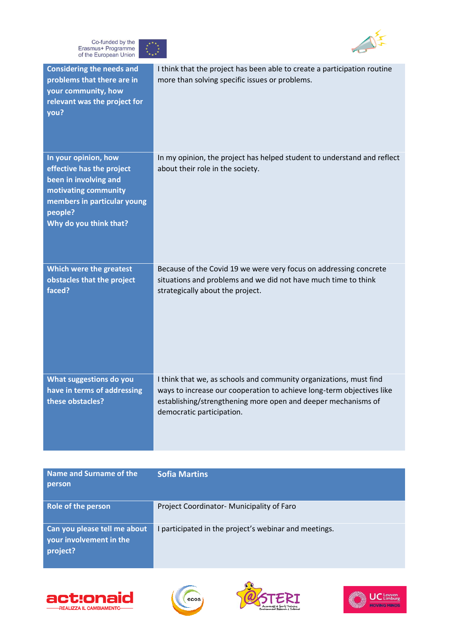![](_page_26_Picture_0.jpeg)

![](_page_26_Picture_1.jpeg)

![](_page_26_Picture_2.jpeg)

| <b>Considering the needs and</b><br>problems that there are in<br>your community, how<br>relevant was the project for<br>you?                                          | I think that the project has been able to create a participation routine<br>more than solving specific issues or problems.                                                                                                                |
|------------------------------------------------------------------------------------------------------------------------------------------------------------------------|-------------------------------------------------------------------------------------------------------------------------------------------------------------------------------------------------------------------------------------------|
| In your opinion, how<br>effective has the project<br>been in involving and<br>motivating community<br>members in particular young<br>people?<br>Why do you think that? | In my opinion, the project has helped student to understand and reflect<br>about their role in the society.                                                                                                                               |
| Which were the greatest<br>obstacles that the project<br>faced?                                                                                                        | Because of the Covid 19 we were very focus on addressing concrete<br>situations and problems and we did not have much time to think<br>strategically about the project.                                                                   |
| What suggestions do you<br>have in terms of addressing<br>these obstacles?                                                                                             | I think that we, as schools and community organizations, must find<br>ways to increase our cooperation to achieve long-term objectives like<br>establishing/strengthening more open and deeper mechanisms of<br>democratic participation. |

| Name and Surname of the<br>person                                   | <b>Sofia Martins</b>                                |
|---------------------------------------------------------------------|-----------------------------------------------------|
| Role of the person                                                  | Project Coordinator- Municipality of Faro           |
| Can you please tell me about<br>your involvement in the<br>project? | participated in the project's webinar and meetings. |

![](_page_26_Picture_5.jpeg)

![](_page_26_Picture_6.jpeg)

![](_page_26_Picture_7.jpeg)

![](_page_26_Picture_8.jpeg)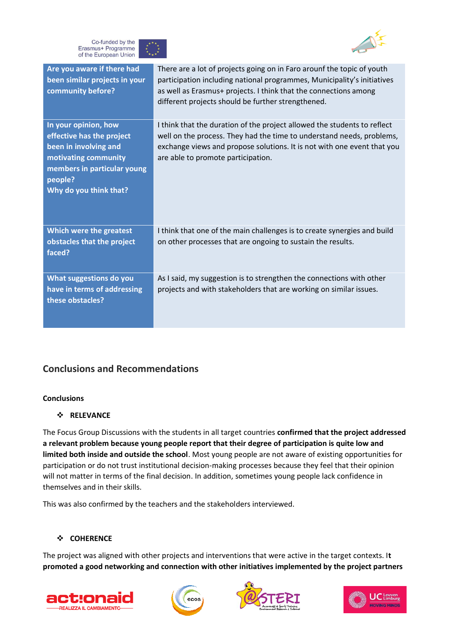![](_page_27_Picture_0.jpeg)

![](_page_27_Picture_1.jpeg)

| Are you aware if there had<br>been similar projects in your<br>community before?                                                                                       | There are a lot of projects going on in Faro arounf the topic of youth<br>participation including national programmes, Municipality's initiatives<br>as well as Erasmus+ projects. I think that the connections among<br>different projects should be further strengthened. |
|------------------------------------------------------------------------------------------------------------------------------------------------------------------------|-----------------------------------------------------------------------------------------------------------------------------------------------------------------------------------------------------------------------------------------------------------------------------|
| In your opinion, how<br>effective has the project<br>been in involving and<br>motivating community<br>members in particular young<br>people?<br>Why do you think that? | I think that the duration of the project allowed the students to reflect<br>well on the process. They had the time to understand needs, problems,<br>exchange views and propose solutions. It is not with one event that you<br>are able to promote participation.          |
| Which were the greatest<br>obstacles that the project<br>faced?                                                                                                        | I think that one of the main challenges is to create synergies and build<br>on other processes that are ongoing to sustain the results.                                                                                                                                     |
| What suggestions do you<br>have in terms of addressing<br>these obstacles?                                                                                             | As I said, my suggestion is to strengthen the connections with other<br>projects and with stakeholders that are working on similar issues.                                                                                                                                  |

# **Conclusions and Recommendations**

#### **Conclusions**

#### ❖ **RELEVANCE**

The Focus Group Discussions with the students in all target countries **confirmed that the project addressed a relevant problem because young people report that their degree of participation is quite low and limited both inside and outside the school**. Most young people are not aware of existing opportunities for participation or do not trust institutional decision-making processes because they feel that their opinion will not matter in terms of the final decision. In addition, sometimes young people lack confidence in themselves and in their skills.

This was also confirmed by the teachers and the stakeholders interviewed.

#### ❖ **COHERENCE**

The project was aligned with other projects and interventions that were active in the target contexts. I**t promoted a good networking and connection with other initiatives implemented by the project partners** 

![](_page_27_Picture_10.jpeg)

![](_page_27_Picture_11.jpeg)

![](_page_27_Picture_12.jpeg)

![](_page_27_Picture_13.jpeg)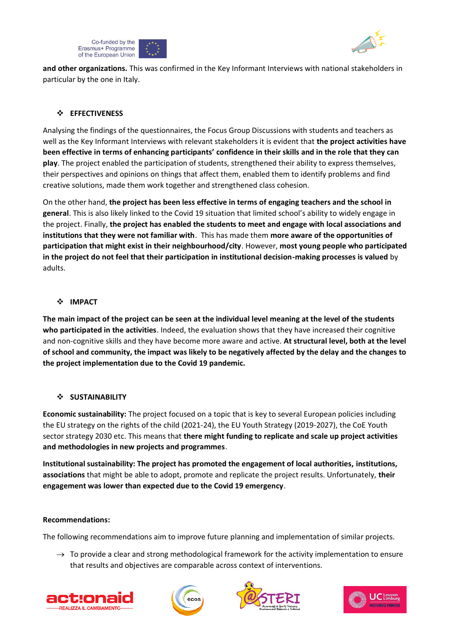![](_page_28_Picture_0.jpeg)

![](_page_28_Picture_1.jpeg)

**and other organizations.** This was confirmed in the Key Informant Interviews with national stakeholders in particular by the one in Italy.

### ❖ **EFFECTIVENESS**

Analysing the findings of the questionnaires, the Focus Group Discussions with students and teachers as well as the Key Informant Interviews with relevant stakeholders it is evident that **the project activities have been effective in terms of enhancing participants' confidence in their skills and in the role that they can play**. The project enabled the participation of students, strengthened their ability to express themselves, their perspectives and opinions on things that affect them, enabled them to identify problems and find creative solutions, made them work together and strengthened class cohesion.

On the other hand, **the project has been less effective in terms of engaging teachers and the school in general**. This is also likely linked to the Covid 19 situation that limited school's ability to widely engage in the project. Finally, **the project has enabled the students to meet and engage with local associations and institutions that they were not familiar with**. This has made them **more aware of the opportunities of participation that might exist in their neighbourhood/city**. However, **most young people who participated in the project do not feel that their participation in institutional decision-making processes is valued** by adults.

#### ❖ **IMPACT**

**The main impact of the project can be seen at the individual level meaning at the level of the students who participated in the activities**. Indeed, the evaluation shows that they have increased their cognitive and non-cognitive skills and they have become more aware and active. **At structural level, both at the level of school and community, the impact was likely to be negatively affected by the delay and the changes to the project implementation due to the Covid 19 pandemic.** 

#### ❖ **SUSTAINABILITY**

**Economic sustainability:** The project focused on a topic that is key to several European policies including the EU strategy on the rights of the child (2021-24), the EU Youth Strategy (2019-2027), the CoE Youth sector strategy 2030 etc. This means that **there might funding to replicate and scale up project activities and methodologies in new projects and programmes**.

**Institutional sustainability: The project has promoted the engagement of local authorities, institutions, associations** that might be able to adopt, promote and replicate the project results. Unfortunately, **their engagement was lower than expected due to the Covid 19 emergency**.

#### **Recommendations:**

The following recommendations aim to improve future planning and implementation of similar projects.

 $\rightarrow$  To provide a clear and strong methodological framework for the activity implementation to ensure that results and objectives are comparable across context of interventions.

![](_page_28_Picture_14.jpeg)

![](_page_28_Picture_15.jpeg)

![](_page_28_Picture_16.jpeg)

![](_page_28_Picture_17.jpeg)